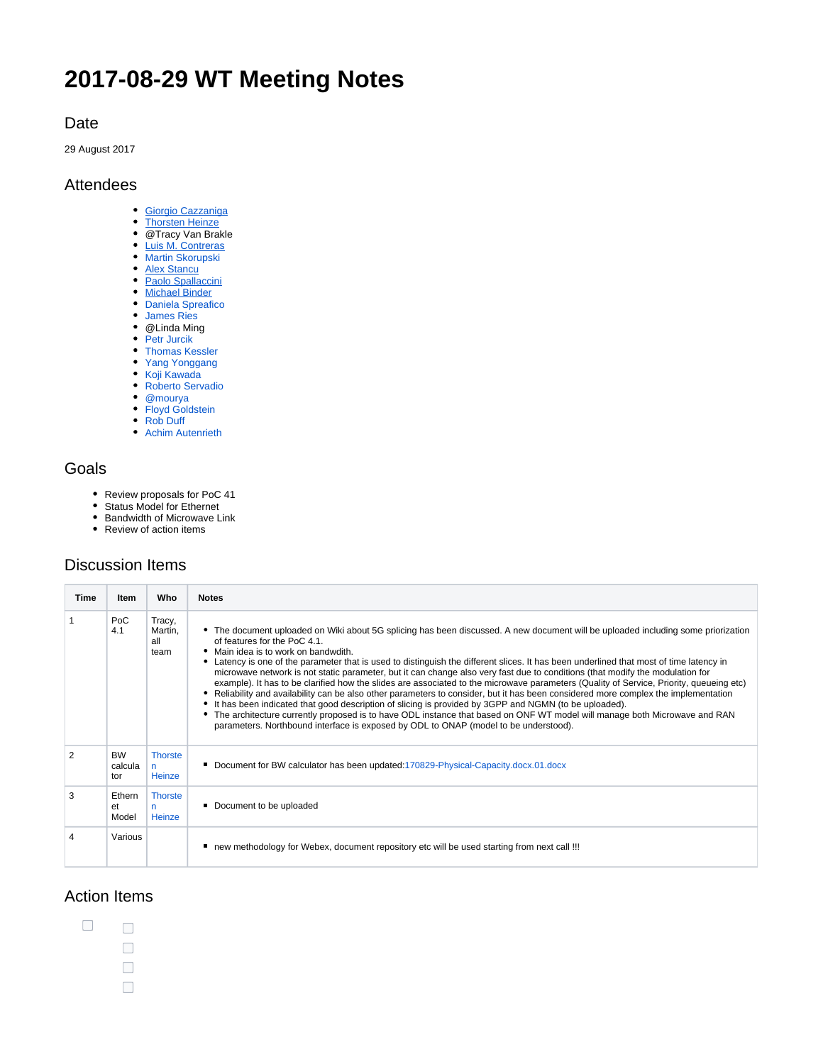# **2017-08-29 WT Meeting Notes**

#### Date

29 August 2017

#### Attendees

- [Giorgio Cazzaniga](https://rs.opennetworking.org/wiki/display/~giorgio.cazzaniga)
- [Thorsten Heinze](https://rs.opennetworking.org/wiki/display/~thorsten.heinze)
- @Tracy Van Brakle
- [Luis M. Contreras](https://rs.opennetworking.org/wiki/display/~lmcm)
- [Martin Skorupski](https://wiki.opennetworking.org/display/~demx8as6)
- **[Alex Stancu](https://rs.opennetworking.org/wiki/display/~alexandrus)** [Paolo Spallaccini](https://rs.opennetworking.org/wiki/display/~paolo.spallaccini)
- [Michael Binder](https://rs.opennetworking.org/wiki/display/~michael.binder)
- [Daniela Spreafico](https://wiki.opennetworking.org/display/~spreafico.daniela)
- [James Ries](https://wiki.opennetworking.org/display/~james.ries)
- @Linda Ming
- [Petr Jurcik](https://wiki.opennetworking.org/display/~petr.jurcik)
- [Thomas Kessler](https://wiki.opennetworking.org/display/~kesslert)
- [Yang Yonggang](https://wiki.opennetworking.org/display/~yang.yonggang@zte.com.cn)
- [Koji Kawada](https://wiki.opennetworking.org/display/~k-kawada)
- [Roberto Servadio](https://wiki.opennetworking.org/display/~roberto.servadio)
- @mourya
- [Floyd Goldstein](https://wiki.opennetworking.org/display/~floyd.goldstein)
- [Rob Duff](https://wiki.opennetworking.org/display/~rob.duff)
- [Achim Autenrieth](https://wiki.opennetworking.org/display/~aautenrieth@advaoptical.com)

## Goals

- Review proposals for PoC 41
- Status Model for Ethernet
- Bandwidth of Microwave Link
- Review of action items

## Discussion Items

| Time          | Item                        | Who                              | <b>Notes</b>                                                                                                                                                                                                                                                                                                                                                                                                                                                                                                                                                                                                                                                                                                                                                                                                                                                                                                                                                                                                                                                                                              |
|---------------|-----------------------------|----------------------------------|-----------------------------------------------------------------------------------------------------------------------------------------------------------------------------------------------------------------------------------------------------------------------------------------------------------------------------------------------------------------------------------------------------------------------------------------------------------------------------------------------------------------------------------------------------------------------------------------------------------------------------------------------------------------------------------------------------------------------------------------------------------------------------------------------------------------------------------------------------------------------------------------------------------------------------------------------------------------------------------------------------------------------------------------------------------------------------------------------------------|
|               | PoC<br>4.1                  | Tracy,<br>Martin,<br>all<br>team | • The document uploaded on Wiki about 5G splicing has been discussed. A new document will be uploaded including some priorization<br>of features for the PoC 4.1.<br>• Main idea is to work on bandwdith.<br>• Latency is one of the parameter that is used to distinguish the different slices. It has been underlined that most of time latency in<br>microwave network is not static parameter, but it can change also very fast due to conditions (that modify the modulation for<br>example). It has to be clarified how the slides are associated to the microwave parameters (Quality of Service, Priority, queueing etc)<br>• Reliability and availability can be also other parameters to consider, but it has been considered more complex the implementation<br>• It has been indicated that good description of slicing is provided by 3GPP and NGMN (to be uploaded).<br>• The architecture currently proposed is to have ODL instance that based on ONF WT model will manage both Microwave and RAN<br>parameters. Northbound interface is exposed by ODL to ONAP (model to be understood). |
| $\mathcal{P}$ | <b>BW</b><br>calcula<br>tor | <b>Thorste</b><br>n<br>Heinze    | Document for BW calculator has been updated: 170829-Physical-Capacity.docx.01.docx                                                                                                                                                                                                                                                                                                                                                                                                                                                                                                                                                                                                                                                                                                                                                                                                                                                                                                                                                                                                                        |
| 3             | Ethern<br>et<br>Model       | <b>Thorste</b><br>n<br>Heinze    | Document to be uploaded                                                                                                                                                                                                                                                                                                                                                                                                                                                                                                                                                                                                                                                                                                                                                                                                                                                                                                                                                                                                                                                                                   |
| 4             | Various                     |                                  | ■ new methodology for Webex, document repository etc will be used starting from next call !!!                                                                                                                                                                                                                                                                                                                                                                                                                                                                                                                                                                                                                                                                                                                                                                                                                                                                                                                                                                                                             |

### Action Items

 $\Box$ 

 $\Box$  $\Box$  $\hfill \square$  $\Box$